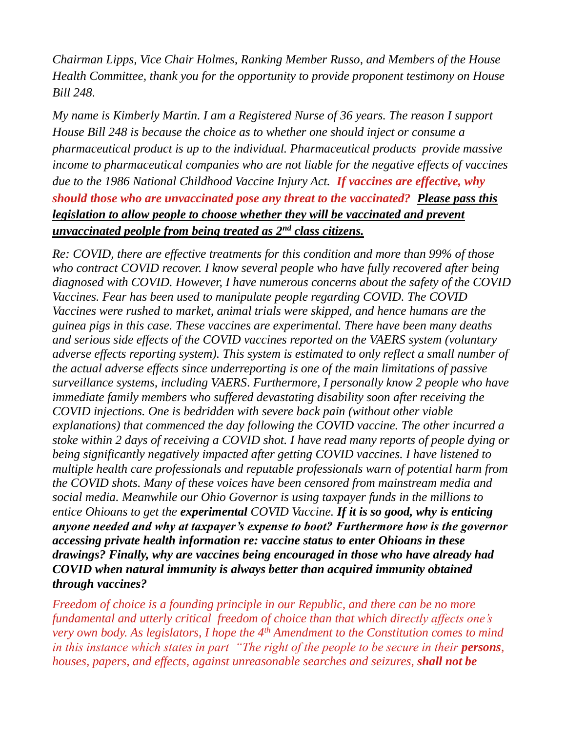*Chairman Lipps, Vice Chair Holmes, Ranking Member Russo, and Members of the House Health Committee, thank you for the opportunity to provide proponent testimony on House Bill 248.*

*My name is Kimberly Martin. I am a Registered Nurse of 36 years. The reason I support House Bill 248 is because the choice as to whether one should inject or consume a pharmaceutical product is up to the individual. Pharmaceutical products provide massive income to pharmaceutical companies who are not liable for the negative effects of vaccines due to the 1986 National Childhood Vaccine Injury Act. If vaccines are effective, why should those who are unvaccinated pose any threat to the vaccinated? Please pass this legislation to allow people to choose whether they will be vaccinated and prevent unvaccinated peolple from being treated as 2nd class citizens.* 

*Re: COVID, there are effective treatments for this condition and more than 99% of those who contract COVID recover. I know several people who have fully recovered after being diagnosed with COVID. However, I have numerous concerns about the safety of the COVID Vaccines. Fear has been used to manipulate people regarding COVID. The COVID Vaccines were rushed to market, animal trials were skipped, and hence humans are the guinea pigs in this case. These vaccines are experimental. There have been many deaths and serious side effects of the COVID vaccines reported on the VAERS system (voluntary adverse effects reporting system). This system is estimated to only reflect a small number of the actual adverse effects since underreporting is one of the main limitations of passive surveillance systems, including VAERS*. *Furthermore, I personally know 2 people who have immediate family members who suffered devastating disability soon after receiving the COVID injections. One is bedridden with severe back pain (without other viable explanations) that commenced the day following the COVID vaccine. The other incurred a stoke within 2 days of receiving a COVID shot. I have read many reports of people dying or being significantly negatively impacted after getting COVID vaccines. I have listened to multiple health care professionals and reputable professionals warn of potential harm from the COVID shots. Many of these voices have been censored from mainstream media and social media. Meanwhile our Ohio Governor is using taxpayer funds in the millions to entice Ohioans to get the experimental COVID Vaccine. If it is so good, why is enticing anyone needed and why at taxpayer's expense to boot? Furthermore how is the governor accessing private health information re: vaccine status to enter Ohioans in these drawings? Finally, why are vaccines being encouraged in those who have already had COVID when natural immunity is always better than acquired immunity obtained through vaccines?*

*Freedom of choice is a founding principle in our Republic, and there can be no more fundamental and utterly critical freedom of choice than that which directly affects one's very own body. As legislators, I hope the 4th Amendment to the Constitution comes to mind in this instance which states in part* "The right of the people to be secure in their *persons*, *houses, papers, and effects, against unreasonable searches and seizures, shall not be*